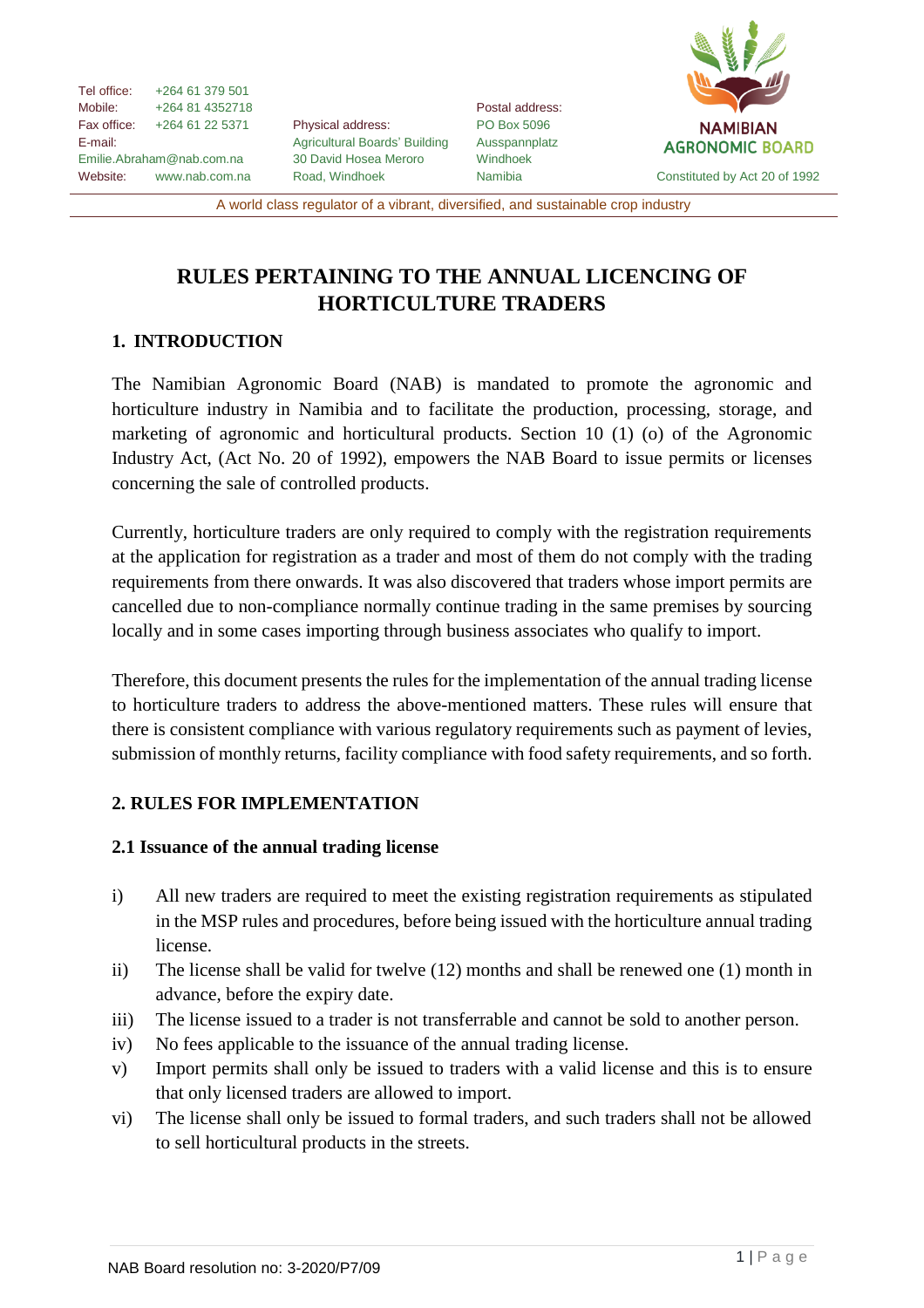Tel office: +264 61 379 501 Mobile: +264 81 4352718 Fax office: +264 61 22 5371 E-mail: Emilie.Abraham@nab.com.na Website: [www.nab.com.na](http://www.nab.com.na/)

Physical address: Agricultural Boards' Building 30 David Hosea Meroro Road, Windhoek

Postal address: PO Box 5096 Ausspannplatz Windhoek



A world class regulator of a vibrant, diversified, and sustainable crop industry

# **RULES PERTAINING TO THE ANNUAL LICENCING OF HORTICULTURE TRADERS**

# **1. INTRODUCTION**

The Namibian Agronomic Board (NAB) is mandated to promote the agronomic and horticulture industry in Namibia and to facilitate the production, processing, storage, and marketing of agronomic and horticultural products. Section 10 (1) (o) of the Agronomic Industry Act, (Act No. 20 of 1992), empowers the NAB Board to issue permits or licenses concerning the sale of controlled products.

Currently, horticulture traders are only required to comply with the registration requirements at the application for registration as a trader and most of them do not comply with the trading requirements from there onwards. It was also discovered that traders whose import permits are cancelled due to non-compliance normally continue trading in the same premises by sourcing locally and in some cases importing through business associates who qualify to import.

Therefore, this document presents the rules for the implementation of the annual trading license to horticulture traders to address the above-mentioned matters. These rules will ensure that there is consistent compliance with various regulatory requirements such as payment of levies, submission of monthly returns, facility compliance with food safety requirements, and so forth.

## **2. RULES FOR IMPLEMENTATION**

## **2.1 Issuance of the annual trading license**

- i) All new traders are required to meet the existing registration requirements as stipulated in the MSP rules and procedures, before being issued with the horticulture annual trading license.
- ii) The license shall be valid for twelve (12) months and shall be renewed one (1) month in advance, before the expiry date.
- iii) The license issued to a trader is not transferrable and cannot be sold to another person.
- iv) No fees applicable to the issuance of the annual trading license.
- v) Import permits shall only be issued to traders with a valid license and this is to ensure that only licensed traders are allowed to import.
- vi) The license shall only be issued to formal traders, and such traders shall not be allowed to sell horticultural products in the streets.